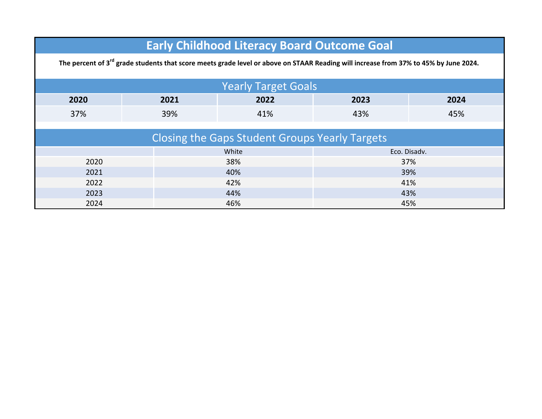| <b>Early Childhood Literacy Board Outcome Goal</b><br>The percent of 3 <sup>rd</sup> grade students that score meets grade level or above on STAAR Reading will increase from 37% to 45% by June 2024. |                                                       |       |              |      |  |  |
|--------------------------------------------------------------------------------------------------------------------------------------------------------------------------------------------------------|-------------------------------------------------------|-------|--------------|------|--|--|
|                                                                                                                                                                                                        | <b>Yearly Target Goals</b>                            |       |              |      |  |  |
| 2020                                                                                                                                                                                                   | 2021                                                  | 2022  | 2023         | 2024 |  |  |
| 37%                                                                                                                                                                                                    | 39%                                                   | 41%   | 43%          | 45%  |  |  |
|                                                                                                                                                                                                        |                                                       |       |              |      |  |  |
|                                                                                                                                                                                                        | <b>Closing the Gaps Student Groups Yearly Targets</b> |       |              |      |  |  |
|                                                                                                                                                                                                        |                                                       | White | Eco. Disadv. |      |  |  |
| 2020                                                                                                                                                                                                   |                                                       | 38%   | 37%          |      |  |  |
| 2021                                                                                                                                                                                                   |                                                       | 40%   | 39%          |      |  |  |
| 2022                                                                                                                                                                                                   |                                                       | 42%   | 41%          |      |  |  |
| 2023                                                                                                                                                                                                   |                                                       | 44%   | 43%          |      |  |  |
| 2024                                                                                                                                                                                                   |                                                       | 46%   | 45%          |      |  |  |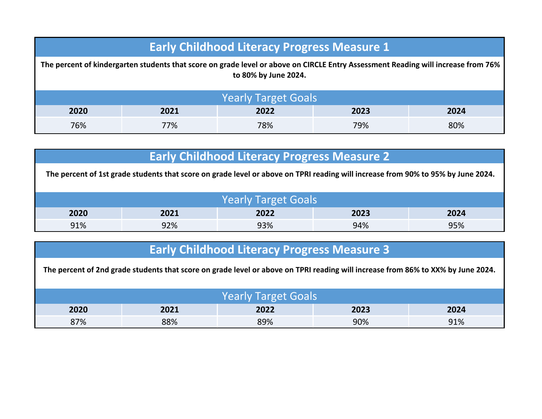| <b>Early Childhood Literacy Progress Measure 1</b>                                                                                                        |                            |     |     |     |  |
|-----------------------------------------------------------------------------------------------------------------------------------------------------------|----------------------------|-----|-----|-----|--|
| The percent of kindergarten students that score on grade level or above on CIRCLE Entry Assessment Reading will increase from 76%<br>to 80% by June 2024. |                            |     |     |     |  |
|                                                                                                                                                           | <b>Yearly Target Goals</b> |     |     |     |  |
| 2020<br>2021<br>2022<br>2023<br>2024                                                                                                                      |                            |     |     |     |  |
| 76%                                                                                                                                                       | 77%                        | 78% | 79% | 80% |  |

| <b>Early Childhood Literacy Progress Measure 2</b>                                                                               |                              |     |     |     |  |
|----------------------------------------------------------------------------------------------------------------------------------|------------------------------|-----|-----|-----|--|
| The percent of 1st grade students that score on grade level or above on TPRI reading will increase from 90% to 95% by June 2024. |                              |     |     |     |  |
|                                                                                                                                  |                              |     |     |     |  |
| <b>Yearly Target Goals</b>                                                                                                       |                              |     |     |     |  |
| 2020                                                                                                                             | 2022<br>2021<br>2023<br>2024 |     |     |     |  |
| 91%                                                                                                                              | 92%                          | 93% | 94% | 95% |  |

|  |  | <b>Early Childhood Literacy Progress Measure 3</b> |
|--|--|----------------------------------------------------|
|  |  |                                                    |

**The percent of 2nd grade students that score on grade level or above on TPRI reading will increase from 86% to XX% by June 2024.**  90% 91% Yearly Target Goals **2020 2021 2022 2023 2024** 87% 88% 89%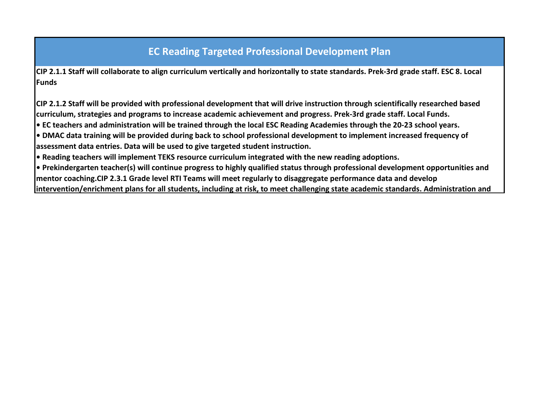## **EC Reading Targeted Professional Development Plan**

**CIP 2.1.1 Staff will collaborate to align curriculum vertically and horizontally to state standards. Prek-3rd grade staff. ESC 8. Local Funds**

**CIP 2.1.2 Staff will be provided with professional development that will drive instruction through scientifically researched based curriculum, strategies and programs to increase academic achievement and progress. Prek-3rd grade staff. Local Funds.**

**• EC teachers and administration will be trained through the local ESC Reading Academies through the 20-23 school years.**

**• DMAC data training will be provided during back to school professional development to implement increased frequency of assessment data entries. Data will be used to give targeted student instruction.** 

**• Reading teachers will implement TEKS resource curriculum integrated with the new reading adoptions.**

**• Prekindergarten teacher(s) will continue progress to highly qualified status through professional development opportunities and mentor coaching.CIP 2.3.1 Grade level RTI Teams will meet regularly to disaggregate performance data and develop intervention/enrichment plans for all students, including at risk, to meet challenging state academic standards. Administration and**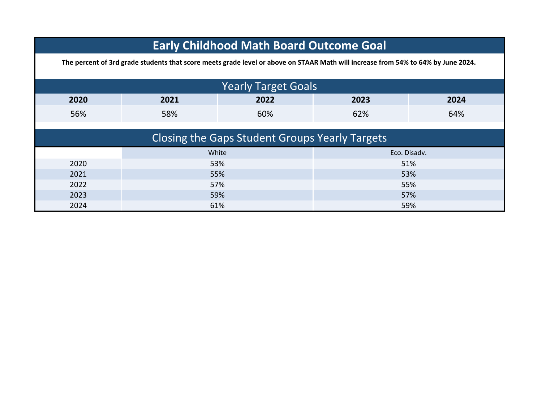|      | <b>Early Childhood Math Board Outcome Goal</b>                                                                                    |                                                       |              |      |  |  |
|------|-----------------------------------------------------------------------------------------------------------------------------------|-------------------------------------------------------|--------------|------|--|--|
|      | The percent of 3rd grade students that score meets grade level or above on STAAR Math will increase from 54% to 64% by June 2024. |                                                       |              |      |  |  |
|      | <b>Yearly Target Goals</b>                                                                                                        |                                                       |              |      |  |  |
| 2020 | 2021                                                                                                                              | 2022                                                  | 2023         | 2024 |  |  |
| 56%  | 58%                                                                                                                               | 60%                                                   | 62%          | 64%  |  |  |
|      |                                                                                                                                   |                                                       |              |      |  |  |
|      |                                                                                                                                   | <b>Closing the Gaps Student Groups Yearly Targets</b> |              |      |  |  |
|      | White                                                                                                                             |                                                       | Eco. Disadv. |      |  |  |
| 2020 | 53%                                                                                                                               |                                                       | 51%          |      |  |  |
| 2021 | 55%                                                                                                                               |                                                       | 53%          |      |  |  |
| 2022 | 57%                                                                                                                               |                                                       | 55%          |      |  |  |
| 2023 | 59%                                                                                                                               |                                                       | 57%          |      |  |  |
| 2024 | 61%                                                                                                                               |                                                       | 59%          |      |  |  |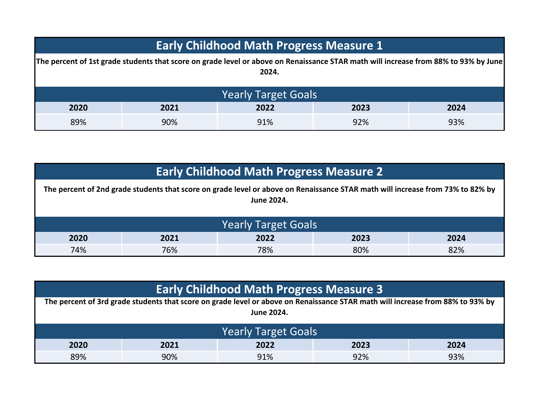| <b>Early Childhood Math Progress Measure 1</b>                                                                                                |      |      |      |      |
|-----------------------------------------------------------------------------------------------------------------------------------------------|------|------|------|------|
| The percent of 1st grade students that score on grade level or above on Renaissance STAR math will increase from 88% to 93% by June <br>2024. |      |      |      |      |
| <b>Yearly Target Goals</b>                                                                                                                    |      |      |      |      |
| 2020                                                                                                                                          | 2021 | 2022 | 2023 | 2024 |
| 89%                                                                                                                                           | 90%  | 91%  | 92%  | 93%  |

| <b>Early Childhood Math Progress Measure 2</b>                                                                                                      |                            |     |     |     |  |
|-----------------------------------------------------------------------------------------------------------------------------------------------------|----------------------------|-----|-----|-----|--|
| The percent of 2nd grade students that score on grade level or above on Renaissance STAR math will increase from 73% to 82% by<br><b>June 2024.</b> |                            |     |     |     |  |
|                                                                                                                                                     | <b>Yearly Target Goals</b> |     |     |     |  |
| 2020<br>2022<br>2023<br>2024<br>2021                                                                                                                |                            |     |     |     |  |
| 74%                                                                                                                                                 | 76%                        | 78% | 80% | 82% |  |

| <b>Early Childhood Math Progress Measure 3</b> |                                                                                                                                |            |     |     |
|------------------------------------------------|--------------------------------------------------------------------------------------------------------------------------------|------------|-----|-----|
|                                                | The percent of 3rd grade students that score on grade level or above on Renaissance STAR math will increase from 88% to 93% by |            |     |     |
|                                                |                                                                                                                                | June 2024. |     |     |
|                                                |                                                                                                                                |            |     |     |
| <b>Yearly Target Goals</b>                     |                                                                                                                                |            |     |     |
| 2020<br>2022<br>2021<br>2023<br>2024           |                                                                                                                                |            |     |     |
| 89%                                            | 90%                                                                                                                            | 91%        | 92% | 93% |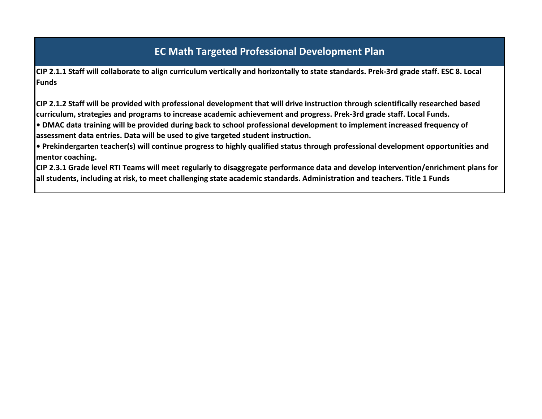## **EC Math Targeted Professional Development Plan**

**CIP 2.1.1 Staff will collaborate to align curriculum vertically and horizontally to state standards. Prek-3rd grade staff. ESC 8. Local Funds**

**CIP 2.1.2 Staff will be provided with professional development that will drive instruction through scientifically researched based curriculum, strategies and programs to increase academic achievement and progress. Prek-3rd grade staff. Local Funds.**

**• DMAC data training will be provided during back to school professional development to implement increased frequency of assessment data entries. Data will be used to give targeted student instruction.** 

**• Prekindergarten teacher(s) will continue progress to highly qualified status through professional development opportunities and mentor coaching.**

**CIP 2.3.1 Grade level RTI Teams will meet regularly to disaggregate performance data and develop intervention/enrichment plans for all students, including at risk, to meet challenging state academic standards. Administration and teachers. Title 1 Funds**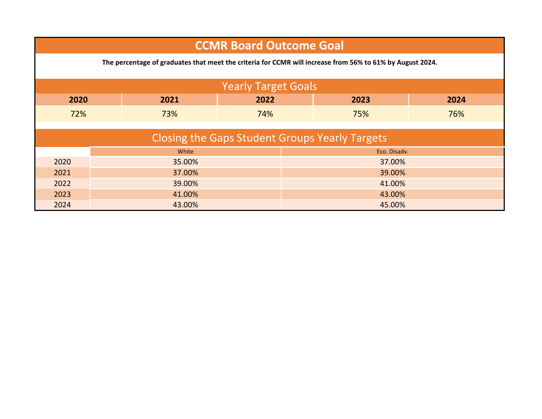| <b>CCMR Board Outcome Goal</b>                        |        |                                                                                                           |                            |        |              |      |
|-------------------------------------------------------|--------|-----------------------------------------------------------------------------------------------------------|----------------------------|--------|--------------|------|
|                                                       |        | The percentage of graduates that meet the criteria for CCMR will increase from 56% to 61% by August 2024. |                            |        |              |      |
|                                                       |        |                                                                                                           | <b>Yearly Target Goals</b> |        |              |      |
| 2020                                                  |        | 2021                                                                                                      | 2022                       |        | 2023         | 2024 |
| 72%                                                   |        | 73%                                                                                                       | 74%                        |        | 75%          | 76%  |
| <b>Closing the Gaps Student Groups Yearly Targets</b> |        |                                                                                                           |                            |        |              |      |
|                                                       |        | White                                                                                                     |                            |        | Eco. Disadv. |      |
| 2020                                                  |        | 35.00%                                                                                                    |                            | 37.00% |              |      |
| 2021                                                  | 37.00% |                                                                                                           |                            | 39.00% |              |      |
| 2022                                                  | 39.00% |                                                                                                           | 41.00%                     |        |              |      |
| 2023<br>41.00%                                        |        |                                                                                                           | 43.00%                     |        |              |      |
| 2024                                                  |        | 43.00%                                                                                                    |                            |        | 45.00%       |      |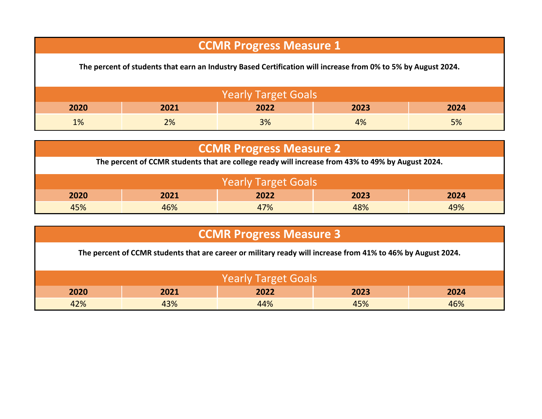## **CCMR Progress Measure 1**

**The percent of students that earn an Industry Based Certification will increase from 0% to 5% by August 2024.**

| <b>Yearly Target Goals</b> |      |      |      |      |  |
|----------------------------|------|------|------|------|--|
| 2020                       | 2021 | 2022 | 2023 | 2024 |  |
| 1%                         | 2%   | 3%   | 4%   | 5%   |  |

| <b>CCMR Progress Measure 2</b>                                                                    |                              |     |     |     |  |
|---------------------------------------------------------------------------------------------------|------------------------------|-----|-----|-----|--|
| The percent of CCMR students that are college ready will increase from 43% to 49% by August 2024. |                              |     |     |     |  |
| <b>Yearly Target Goals</b>                                                                        |                              |     |     |     |  |
| 2020                                                                                              | 2021<br>2022<br>2023<br>2024 |     |     |     |  |
| 45%                                                                                               | 46%                          | 47% | 48% | 49% |  |

| <b>CCMR Progress Measure 3</b>                                                                               |                              |     |     |     |  |
|--------------------------------------------------------------------------------------------------------------|------------------------------|-----|-----|-----|--|
| The percent of CCMR students that are career or military ready will increase from 41% to 46% by August 2024. |                              |     |     |     |  |
|                                                                                                              |                              |     |     |     |  |
|                                                                                                              | <b>Yearly Target Goals</b>   |     |     |     |  |
| 2020                                                                                                         | 2022<br>2021<br>2023<br>2024 |     |     |     |  |
| 42%                                                                                                          | 43%                          | 44% | 45% | 46% |  |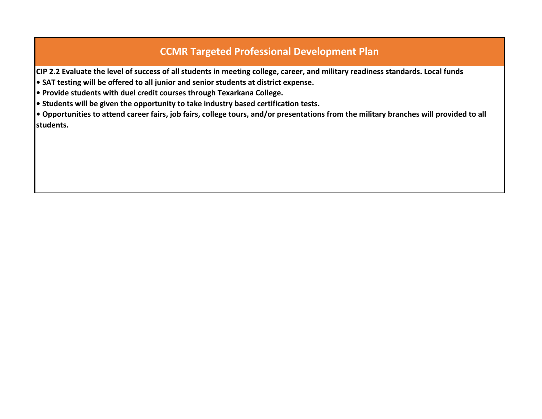## **CCMR Targeted Professional Development Plan**

**CIP 2.2 Evaluate the level of success of all students in meeting college, career, and military readiness standards. Local funds**

**• SAT testing will be offered to all junior and senior students at district expense.** 

**• Provide students with duel credit courses through Texarkana College.**

**• Students will be given the opportunity to take industry based certification tests.**

**• Opportunities to attend career fairs, job fairs, college tours, and/or presentations from the military branches will provided to all students.**